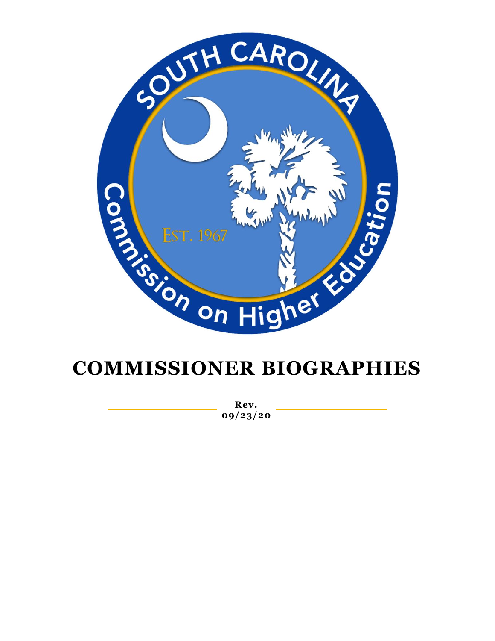

## **COMMISSIONER BIOGRAPHIES**

**Rev. 09/23/20**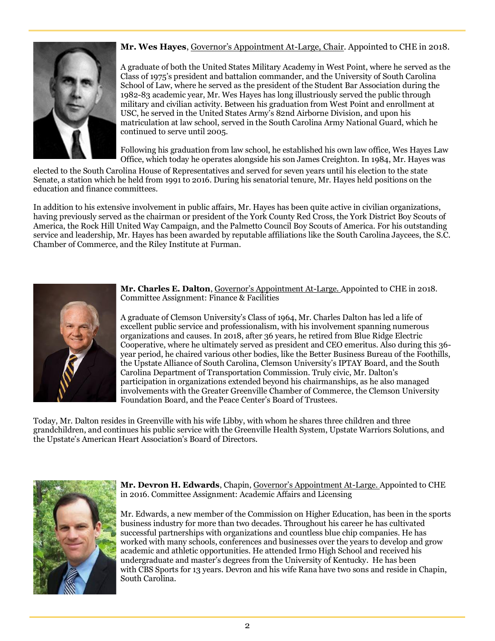

## **Mr. Wes Hayes**, Governor's Appointment At-Large, Chair. Appointed to CHE in 2018.

A graduate of both the United States Military Academy in West Point, where he served as the Class of 1975's president and battalion commander, and the University of South Carolina School of Law, where he served as the president of the Student Bar Association during the 1982-83 academic year, Mr. Wes Hayes has long illustriously served the public through military and civilian activity. Between his graduation from West Point and enrollment at USC, he served in the United States Army's 82nd Airborne Division, and upon his matriculation at law school, served in the South Carolina Army National Guard, which he continued to serve until 2005.

Following his graduation from law school, he established his own law office, Wes Hayes Law Office, which today he operates alongside his son James Creighton. In 1984, Mr. Hayes was

elected to the South Carolina House of Representatives and served for seven years until his election to the state Senate, a station which he held from 1991 to 2016. During his senatorial tenure, Mr. Hayes held positions on the education and finance committees.

In addition to his extensive involvement in public affairs, Mr. Hayes has been quite active in civilian organizations, having previously served as the chairman or president of the York County Red Cross, the York District Boy Scouts of America, the Rock Hill United Way Campaign, and the Palmetto Council Boy Scouts of America. For his outstanding service and leadership, Mr. Hayes has been awarded by reputable affiliations like the South Carolina Jaycees, the S.C. Chamber of Commerce, and the Riley Institute at Furman.



**Mr. Charles E. Dalton**, Governor's Appointment At-Large. Appointed to CHE in 2018. Committee Assignment: Finance & Facilities

A graduate of Clemson University's Class of 1964, Mr. Charles Dalton has led a life of excellent public service and professionalism, with his involvement spanning numerous organizations and causes. In 2018, after 36 years, he retired from Blue Ridge Electric Cooperative, where he ultimately served as president and CEO emeritus. Also during this 36 year period, he chaired various other bodies, like the Better Business Bureau of the Foothills, the Upstate Alliance of South Carolina, Clemson University's IPTAY Board, and the South Carolina Department of Transportation Commission. Truly civic, Mr. Dalton's participation in organizations extended beyond his chairmanships, as he also managed involvements with the Greater Greenville Chamber of Commerce, the Clemson University Foundation Board, and the Peace Center's Board of Trustees.

Today, Mr. Dalton resides in Greenville with his wife Libby, with whom he shares three children and three grandchildren, and continues his public service with the Greenville Health System, Upstate Warriors Solutions, and the Upstate's American Heart Association's Board of Directors.



**Mr. Devron H. Edwards**, Chapin, Governor's Appointment At-Large. Appointed to CHE in 2016. Committee Assignment: Academic Affairs and Licensing

Mr. Edwards, a new member of the Commission on Higher Education, has been in the sports business industry for more than two decades. Throughout his career he has cultivated successful partnerships with organizations and countless blue chip companies. He has worked with many schools, conferences and businesses over the years to develop and grow academic and athletic opportunities. He attended Irmo High School and received his undergraduate and master's degrees from the University of Kentucky. He has been with CBS Sports for 13 years. Devron and his wife Rana have two sons and reside in Chapin, South Carolina.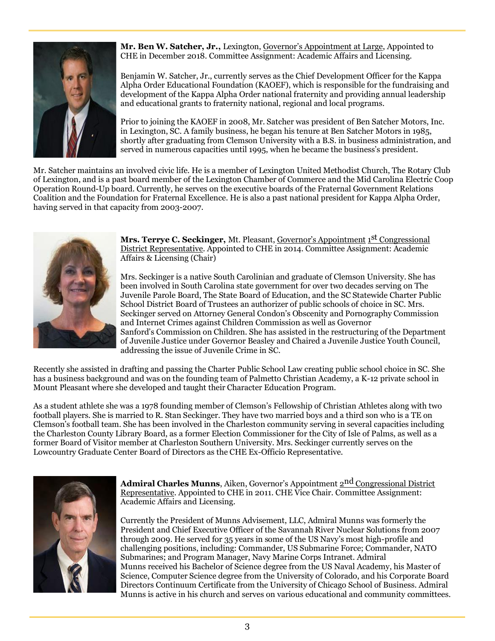

**Mr. Ben W. Satcher, Jr.,** Lexington, Governor's Appointment at Large, Appointed to CHE in December 2018. Committee Assignment: Academic Affairs and Licensing.

Benjamin W. Satcher, Jr., currently serves as the Chief Development Officer for the Kappa Alpha Order Educational Foundation (KAOEF), which is responsible for the fundraising and development of the Kappa Alpha Order national fraternity and providing annual leadership and educational grants to fraternity national, regional and local programs.

Prior to joining the KAOEF in 2008, Mr. Satcher was president of Ben Satcher Motors, Inc. in Lexington, SC. A family business, he began his tenure at Ben Satcher Motors in 1985, shortly after graduating from Clemson University with a B.S. in business administration, and served in numerous capacities until 1995, when he became the business's president.

Mr. Satcher maintains an involved civic life. He is a member of Lexington United Methodist Church, The Rotary Club of Lexington, and is a past board member of the Lexington Chamber of Commerce and the Mid Carolina Electric Coop Operation Round-Up board. Currently, he serves on the executive boards of the Fraternal Government Relations Coalition and the Foundation for Fraternal Excellence. He is also a past national president for Kappa Alpha Order, having served in that capacity from 2003-2007.



**Mrs. Terrye C. Seckinger,** Mt. Pleasant, <u>Governor's Appointment 1St Congressional</u> District Representative. Appointed to CHE in 2014. Committee Assignment: Academic Affairs & Licensing (Chair)

Mrs. Seckinger is a native South Carolinian and graduate of Clemson University. She has been involved in South Carolina state government for over two decades serving on The Juvenile Parole Board, The State Board of Education, and the SC Statewide Charter Public School District Board of Trustees an authorizer of public schools of choice in SC. Mrs. Seckinger served on Attorney General Condon's Obscenity and Pornography Commission and Internet Crimes against Children Commission as well as Governor Sanford's Commission on Children. She has assisted in the restructuring of the Department of Juvenile Justice under Governor Beasley and Chaired a Juvenile Justice Youth Council, addressing the issue of Juvenile Crime in SC.

Recently she assisted in drafting and passing the Charter Public School Law creating public school choice in SC. She has a business background and was on the founding team of Palmetto Christian Academy, a K-12 private school in Mount Pleasant where she developed and taught their Character Education Program.

As a student athlete she was a 1978 founding member of Clemson's Fellowship of Christian Athletes along with two football players. She is married to R. Stan Seckinger. They have two married boys and a third son who is a TE on Clemson's football team. She has been involved in the Charleston community serving in several capacities including the Charleston County Library Board, as a former Election Commissioner for the City of Isle of Palms, as well as a former Board of Visitor member at Charleston Southern University. Mrs. Seckinger currently serves on the Lowcountry Graduate Center Board of Directors as the CHE Ex-Officio Representative.



**Admiral Charles Munns**, Aiken, Governor's Appointment 2<sup>nd</sup> Congressional District Representative. Appointed to CHE in 2011. CHE Vice Chair. Committee Assignment: Academic Affairs and Licensing.

Currently the President of Munns Advisement, LLC, Admiral Munns was formerly the President and Chief Executive Officer of the Savannah River Nuclear Solutions from 2007 through 2009. He served for 35 years in some of the US Navy's most high-profile and challenging positions, including: Commander, US Submarine Force; Commander, NATO Submarines; and Program Manager, Navy Marine Corps Intranet. Admiral Munns received his Bachelor of Science degree from the US Naval Academy, his Master of Science, Computer Science degree from the University of Colorado, and his Corporate Board Directors Continuum Certificate from the University of Chicago School of Business. Admiral Munns is active in his church and serves on various educational and community committees.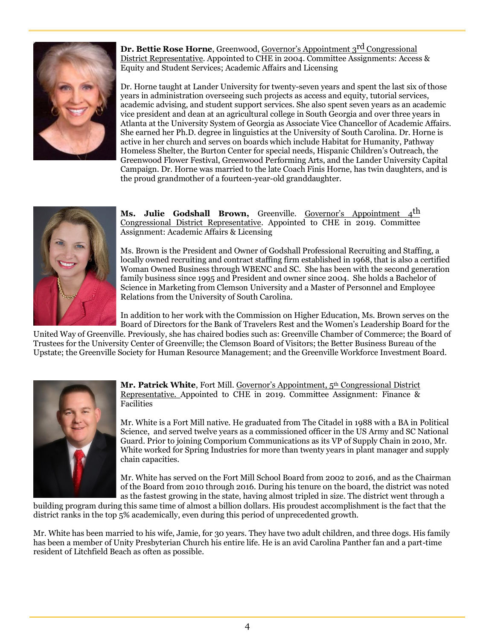

**Dr. Bettie Rose Horne**, Greenwood, Governor's Appointment 3<sup>rd</sup> Congressional District Representative. Appointed to CHE in 2004. Committee Assignments: Access & Equity and Student Services; Academic Affairs and Licensing

Dr. Horne taught at Lander University for twenty-seven years and spent the last six of those years in administration overseeing such projects as access and equity, tutorial services, academic advising, and student support services. She also spent seven years as an academic vice president and dean at an agricultural college in South Georgia and over three years in Atlanta at the University System of Georgia as Associate Vice Chancellor of Academic Affairs. She earned her Ph.D. degree in linguistics at the University of South Carolina. Dr. Horne is active in her church and serves on boards which include Habitat for Humanity, Pathway Homeless Shelter, the Burton Center for special needs, Hispanic Children's Outreach, the Greenwood Flower Festival, Greenwood Performing Arts, and the Lander University Capital Campaign. Dr. Horne was married to the late Coach Finis Horne, has twin daughters, and is the proud grandmother of a fourteen-year-old granddaughter.



Ms. Julie Godshall Brown, Greenville. Governor's Appointment 4<sup>th</sup> Congressional District Representative. Appointed to CHE in 2019. Committee Assignment: Academic Affairs & Licensing

Ms. Brown is the President and Owner of Godshall Professional Recruiting and Staffing, a locally owned recruiting and contract staffing firm established in 1968, that is also a certified Woman Owned Business through WBENC and SC. She has been with the second generation family business since 1995 and President and owner since 2004. She holds a Bachelor of Science in Marketing from Clemson University and a Master of Personnel and Employee Relations from the University of South Carolina.

In addition to her work with the Commission on Higher Education, Ms. Brown serves on the Board of Directors for the Bank of Travelers Rest and the Women's Leadership Board for the

United Way of Greenville. Previously, she has chaired bodies such as: Greenville Chamber of Commerce; the Board of Trustees for the University Center of Greenville; the Clemson Board of Visitors; the Better Business Bureau of the Upstate; the Greenville Society for Human Resource Management; and the Greenville Workforce Investment Board.



**Mr. Patrick White**, Fort Mill. Governor's Appointment, 5th Congressional District Representative. Appointed to CHE in 2019. Committee Assignment: Finance & Facilities

Mr. White is a Fort Mill native. He graduated from The Citadel in 1988 with a BA in Political Science, and served twelve years as a commissioned officer in the US Army and SC National Guard. Prior to joining Comporium Communications as its VP of Supply Chain in 2010, Mr. White worked for Spring Industries for more than twenty years in plant manager and supply chain capacities.

Mr. White has served on the Fort Mill School Board from 2002 to 2016, and as the Chairman of the Board from 2010 through 2016. During his tenure on the board, the district was noted as the fastest growing in the state, having almost tripled in size. The district went through a

building program during this same time of almost a billion dollars. His proudest accomplishment is the fact that the district ranks in the top 5% academically, even during this period of unprecedented growth.

Mr. White has been married to his wife, Jamie, for 30 years. They have two adult children, and three dogs. His family has been a member of Unity Presbyterian Church his entire life. He is an avid Carolina Panther fan and a part-time resident of Litchfield Beach as often as possible.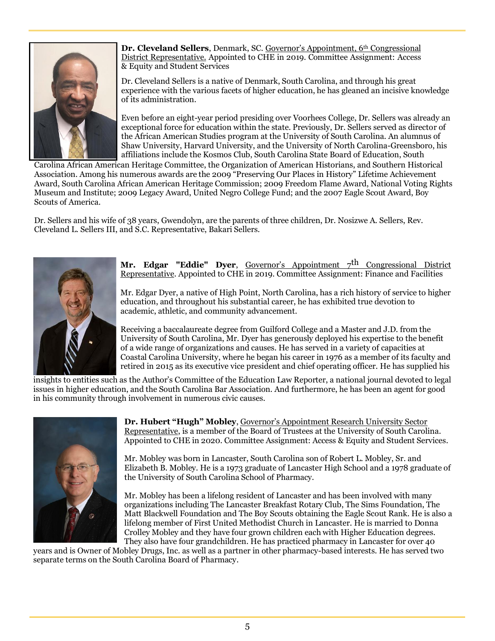

**Dr. Cleveland Sellers**, Denmark, SC. Governor's Appointment, 6<sup>th</sup> Congressional District Representative. Appointed to CHE in 2019. Committee Assignment: Access & Equity and Student Services

Dr. Cleveland Sellers is a native of Denmark, South Carolina, and through his great experience with the various facets of higher education, he has gleaned an incisive knowledge of its administration.

Even before an eight-year period presiding over Voorhees College, Dr. Sellers was already an exceptional force for education within the state. Previously, Dr. Sellers served as director of the African American Studies program at the University of South Carolina. An alumnus of Shaw University, Harvard University, and the University of North Carolina-Greensboro, his affiliations include the Kosmos Club, South Carolina State Board of Education, South

Carolina African American Heritage Committee, the Organization of American Historians, and Southern Historical Association. Among his numerous awards are the 2009 "Preserving Our Places in History" Lifetime Achievement Award, South Carolina African American Heritage Commission; 2009 Freedom Flame Award, National Voting Rights Museum and Institute; 2009 Legacy Award, United Negro College Fund; and the 2007 Eagle Scout Award, Boy Scouts of America.

Dr. Sellers and his wife of 38 years, Gwendolyn, are the parents of three children, Dr. Nosizwe A. Sellers, Rev. Cleveland L. Sellers III, and S.C. Representative, Bakari Sellers.



**Mr. Edgar "Eddie" Dyer**, Governor's Appointment  $7<sup>th</sup>$  Congressional District Representative. Appointed to CHE in 2019. Committee Assignment: Finance and Facilities

Mr. Edgar Dyer, a native of High Point, North Carolina, has a rich history of service to higher education, and throughout his substantial career, he has exhibited true devotion to academic, athletic, and community advancement.

Receiving a baccalaureate degree from Guilford College and a Master and J.D. from the University of South Carolina, Mr. Dyer has generously deployed his expertise to the benefit of a wide range of organizations and causes. He has served in a variety of capacities at Coastal Carolina University, where he began his career in 1976 as a member of its faculty and retired in 2015 as its executive vice president and chief operating officer. He has supplied his

insights to entities such as the Author's Committee of the Education Law Reporter, a national journal devoted to legal issues in higher education, and the South Carolina Bar Association. And furthermore, he has been an agent for good in his community through involvement in numerous civic causes.



**Dr. Hubert "Hugh" Mobley**, Governor's Appointment Research University Sector Representative, is a member of the Board of Trustees at the University of South Carolina. Appointed to CHE in 2020. Committee Assignment: Access & Equity and Student Services.

Mr. Mobley was born in Lancaster, South Carolina son of Robert L. Mobley, Sr. and Elizabeth B. Mobley. He is a 1973 graduate of Lancaster High School and a 1978 graduate of the University of South Carolina School of Pharmacy.

Mr. Mobley has been a lifelong resident of Lancaster and has been involved with many organizations including The Lancaster Breakfast Rotary Club, The Sims Foundation, The Matt Blackwell Foundation and The Boy Scouts obtaining the Eagle Scout Rank. He is also a lifelong member of First United Methodist Church in Lancaster. He is married to Donna Crolley Mobley and they have four grown children each with Higher Education degrees. They also have four grandchildren. He has practiced pharmacy in Lancaster for over 40

years and is Owner of Mobley Drugs, Inc. as well as a partner in other pharmacy-based interests. He has served two separate terms on the South Carolina Board of Pharmacy.